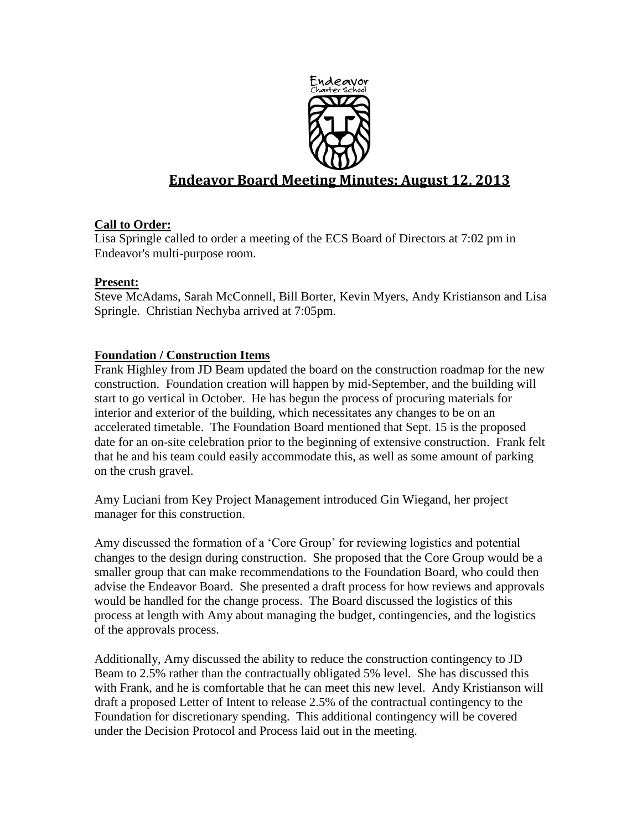

# **Endeavor Board Meeting Minutes: August 12, 2013**

# **Call to Order:**

Lisa Springle called to order a meeting of the ECS Board of Directors at 7:02 pm in Endeavor's multi-purpose room.

## **Present:**

Steve McAdams, Sarah McConnell, Bill Borter, Kevin Myers, Andy Kristianson and Lisa Springle. Christian Nechyba arrived at 7:05pm.

# **Foundation / Construction Items**

Frank Highley from JD Beam updated the board on the construction roadmap for the new construction. Foundation creation will happen by mid-September, and the building will start to go vertical in October. He has begun the process of procuring materials for interior and exterior of the building, which necessitates any changes to be on an accelerated timetable. The Foundation Board mentioned that Sept. 15 is the proposed date for an on-site celebration prior to the beginning of extensive construction. Frank felt that he and his team could easily accommodate this, as well as some amount of parking on the crush gravel.

Amy Luciani from Key Project Management introduced Gin Wiegand, her project manager for this construction.

Amy discussed the formation of a "Core Group" for reviewing logistics and potential changes to the design during construction. She proposed that the Core Group would be a smaller group that can make recommendations to the Foundation Board, who could then advise the Endeavor Board. She presented a draft process for how reviews and approvals would be handled for the change process. The Board discussed the logistics of this process at length with Amy about managing the budget, contingencies, and the logistics of the approvals process.

Additionally, Amy discussed the ability to reduce the construction contingency to JD Beam to 2.5% rather than the contractually obligated 5% level. She has discussed this with Frank, and he is comfortable that he can meet this new level. Andy Kristianson will draft a proposed Letter of Intent to release 2.5% of the contractual contingency to the Foundation for discretionary spending. This additional contingency will be covered under the Decision Protocol and Process laid out in the meeting.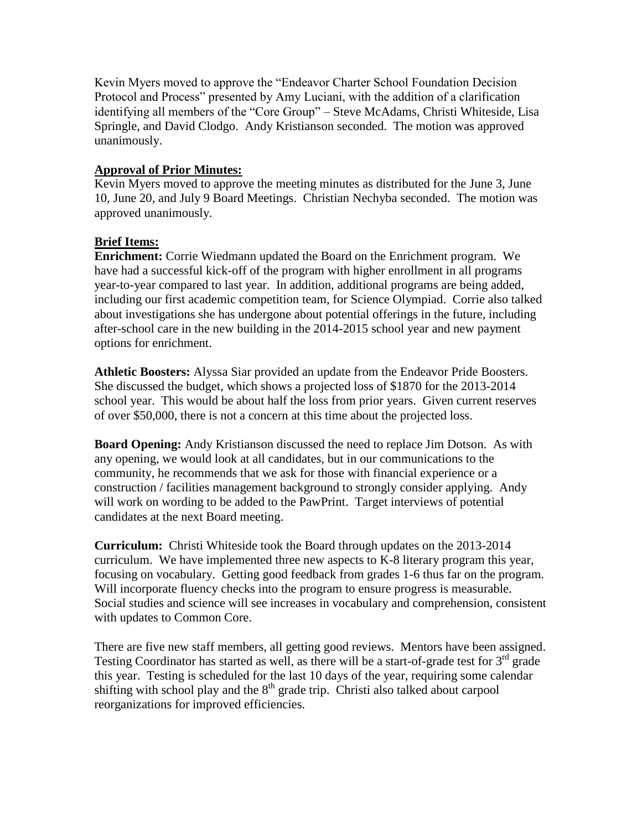Kevin Myers moved to approve the "Endeavor Charter School Foundation Decision Protocol and Process" presented by Amy Luciani, with the addition of a clarification identifying all members of the "Core Group" – Steve McAdams, Christi Whiteside, Lisa Springle, and David Clodgo. Andy Kristianson seconded. The motion was approved unanimously.

## **Approval of Prior Minutes:**

Kevin Myers moved to approve the meeting minutes as distributed for the June 3, June 10, June 20, and July 9 Board Meetings. Christian Nechyba seconded. The motion was approved unanimously.

# **Brief Items:**

**Enrichment:** Corrie Wiedmann updated the Board on the Enrichment program. We have had a successful kick-off of the program with higher enrollment in all programs year-to-year compared to last year. In addition, additional programs are being added, including our first academic competition team, for Science Olympiad. Corrie also talked about investigations she has undergone about potential offerings in the future, including after-school care in the new building in the 2014-2015 school year and new payment options for enrichment.

**Athletic Boosters:** Alyssa Siar provided an update from the Endeavor Pride Boosters. She discussed the budget, which shows a projected loss of \$1870 for the 2013-2014 school year. This would be about half the loss from prior years. Given current reserves of over \$50,000, there is not a concern at this time about the projected loss.

**Board Opening:** Andy Kristianson discussed the need to replace Jim Dotson. As with any opening, we would look at all candidates, but in our communications to the community, he recommends that we ask for those with financial experience or a construction / facilities management background to strongly consider applying. Andy will work on wording to be added to the PawPrint. Target interviews of potential candidates at the next Board meeting.

**Curriculum:** Christi Whiteside took the Board through updates on the 2013-2014 curriculum. We have implemented three new aspects to K-8 literary program this year, focusing on vocabulary. Getting good feedback from grades 1-6 thus far on the program. Will incorporate fluency checks into the program to ensure progress is measurable. Social studies and science will see increases in vocabulary and comprehension, consistent with updates to Common Core.

There are five new staff members, all getting good reviews. Mentors have been assigned. Testing Coordinator has started as well, as there will be a start-of-grade test for  $3<sup>rd</sup>$  grade this year. Testing is scheduled for the last 10 days of the year, requiring some calendar shifting with school play and the  $8<sup>th</sup>$  grade trip. Christi also talked about carpool reorganizations for improved efficiencies.